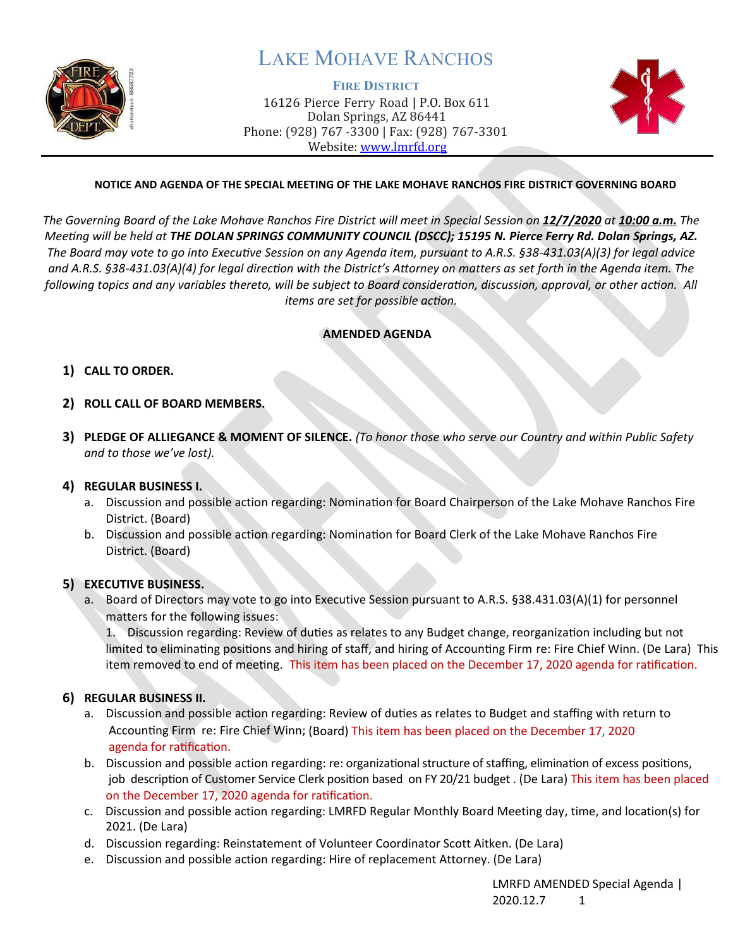

## LAKE MOHAVE RANCHOS

**FIRE DISTRICT** 16126 Pierce Ferry Road | P.O. Box 611 Dolan Springs, AZ 86441 Phone: (928) 767 -3300 | Fax: (928) 767-3301 Website: [www.lmrfd.org](http://www.lmrfd.org/)



#### **NOTICE AND AGENDA OF THE SPECIAL MEETING OF THE LAKE MOHAVE RANCHOS FIRE DISTRICT GOVERNING BOARD**

The Governing Board of the Lake Mohave Ranchos Fire District will meet in Special Session on 12/7/2020 at 10:00 a.m. The *Meeting will be held at THE DOLAN SPRINGS COMMUNITY COUNCIL (DSCC); 15195 N. Pierce Ferry Rd. Dolan Springs, AZ. The Board may vote to go into Executive Session on any Agenda item, pursuant to A.R.S. §38-431.03(A)(3) for legal advice and A.R.S. §38-431.03(A)(4) for legal direction with the District's Attorney on matters as set forth in the Agenda item. The following topics and any variables thereto, will be subject to Board consideration, discussion, approval, or other action. All items are set for possible action.*

#### **AMENDED AGENDA**

#### **1) CALL TO ORDER.**

- **2) ROLL CALL OF BOARD MEMBERS.**
- **3) PLEDGE OF ALLIEGANCE & MOMENT OF SILENCE.** *(To honor those who serve our Country and within Public Safety and to those we've lost).*

#### **4) REGULAR BUSINESS I.**

- a. Discussion and possible action regarding: Nominaton for Board Chairperson of the Lake Mohave Ranchos Fire District. (Board)
- b. Discussion and possible action regarding: Nomination for Board Clerk of the Lake Mohave Ranchos Fire District. (Board)

#### **5) EXECUTIVE BUSINESS.**

a. Board of Directors may vote to go into Executive Session pursuant to A.R.S. §38.431.03(A)(1) for personnel matters for the following issues:

1. Discussion regarding: Review of duties as relates to any Budget change, reorganization including but not limited to eliminating positions and hiring of staff, and hiring of Accounting Firm re: Fire Chief Winn. (De Lara) This item removed to end of meeting. This item has been placed on the December 17, 2020 agenda for ratification.

#### **6) REGULAR BUSINESS II.**

- a. Discussion and possible action regarding: Review of duties as relates to Budget and staffing with return to Accounting Firm re: Fire Chief Winn; (Board) This item has been placed on the December 17, 2020 agenda for ratification.
- b. Discussion and possible action regarding: re: organizational structure of staffing, elimination of excess positions, job description of Customer Service Clerk position based on FY 20/21 budget . (De Lara) This item has been placed on the December 17, 2020 agenda for ratification.
- c. Discussion and possible action regarding: LMRFD Regular Monthly Board Meeting day, time, and location(s) for 2021. (De Lara)
- d. Discussion regarding: Reinstatement of Volunteer Coordinator Scott Aitken. (De Lara)
- e. Discussion and possible action regarding: Hire of replacement Attorney. (De Lara)